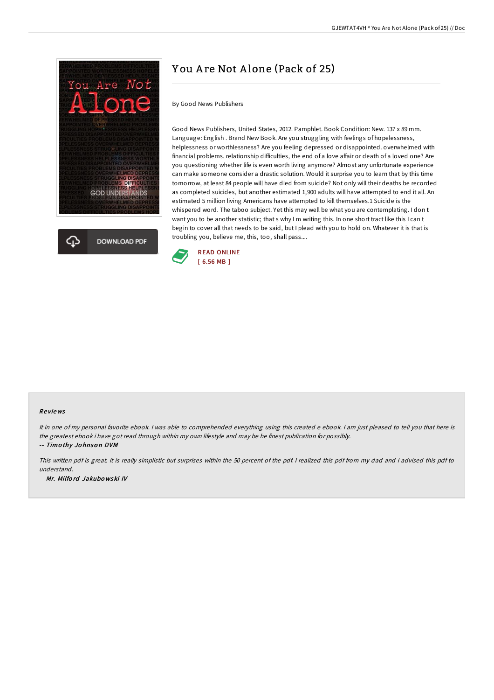



# Y ou A re Not A lone (Pack of 25)

By Good News Publishers

Good News Publishers, United States, 2012. Pamphlet. Book Condition: New. 137 x 89 mm. Language: English . Brand New Book. Are you struggling with feelings of hopelessness, helplessness or worthlessness? Are you feeling depressed or disappointed. overwhelmed with financial problems. relationship difficulties, the end of a love affair or death of a loved one? Are you questioning whether life is even worth living anymore? Almost any unfortunate experience can make someone consider a drastic solution. Would it surprise you to learn that by this time tomorrow, at least 84 people will have died from suicide? Not only will their deaths be recorded as completed suicides, but another estimated 1,900 adults will have attempted to end it all. An estimated 5 million living Americans have attempted to kill themselves.1 Suicide is the whispered word. The taboo subject. Yet this may well be what you are contemplating. I don t want you to be another statistic; that s why I m writing this. In one short tract like this I can t begin to cover all that needs to be said, but I plead with you to hold on. Whatever it is that is troubling you, believe me, this, too, shall pass....



#### Re views

It in one of my personal favorite ebook. I was able to comprehended everything using this created e ebook. I am just pleased to tell you that here is the greatest ebook i have got read through within my own lifestyle and may be he finest publication for possibly.

-- Timo thy Jo hnso <sup>n</sup> DVM

This written pdf is great. It is really simplistic but surprises within the 50 percent of the pdf. <sup>I</sup> realized this pdf from my dad and i advised this pdf to understand.

-- Mr. Milfo rd Jakubo wski IV